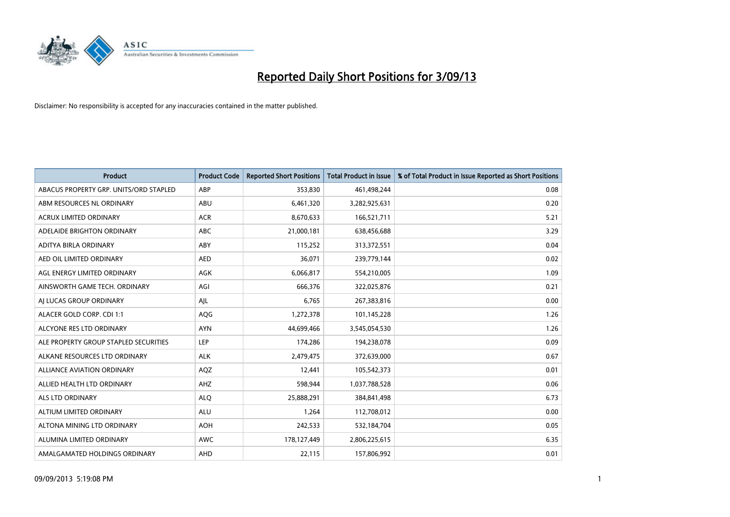

| <b>Product</b>                         | <b>Product Code</b> | <b>Reported Short Positions</b> | <b>Total Product in Issue</b> | % of Total Product in Issue Reported as Short Positions |
|----------------------------------------|---------------------|---------------------------------|-------------------------------|---------------------------------------------------------|
| ABACUS PROPERTY GRP. UNITS/ORD STAPLED | ABP                 | 353,830                         | 461,498,244                   | 0.08                                                    |
| ABM RESOURCES NL ORDINARY              | ABU                 | 6,461,320                       | 3,282,925,631                 | 0.20                                                    |
| <b>ACRUX LIMITED ORDINARY</b>          | <b>ACR</b>          | 8,670,633                       | 166,521,711                   | 5.21                                                    |
| ADELAIDE BRIGHTON ORDINARY             | <b>ABC</b>          | 21,000,181                      | 638,456,688                   | 3.29                                                    |
| ADITYA BIRLA ORDINARY                  | ABY                 | 115,252                         | 313,372,551                   | 0.04                                                    |
| AED OIL LIMITED ORDINARY               | <b>AED</b>          | 36,071                          | 239,779,144                   | 0.02                                                    |
| AGL ENERGY LIMITED ORDINARY            | AGK                 | 6,066,817                       | 554,210,005                   | 1.09                                                    |
| AINSWORTH GAME TECH. ORDINARY          | AGI                 | 666,376                         | 322,025,876                   | 0.21                                                    |
| AI LUCAS GROUP ORDINARY                | AJL                 | 6,765                           | 267,383,816                   | 0.00                                                    |
| ALACER GOLD CORP. CDI 1:1              | AQG                 | 1,272,378                       | 101,145,228                   | 1.26                                                    |
| ALCYONE RES LTD ORDINARY               | <b>AYN</b>          | 44,699,466                      | 3,545,054,530                 | 1.26                                                    |
| ALE PROPERTY GROUP STAPLED SECURITIES  | LEP                 | 174,286                         | 194,238,078                   | 0.09                                                    |
| ALKANE RESOURCES LTD ORDINARY          | <b>ALK</b>          | 2,479,475                       | 372,639,000                   | 0.67                                                    |
| <b>ALLIANCE AVIATION ORDINARY</b>      | AQZ                 | 12,441                          | 105,542,373                   | 0.01                                                    |
| ALLIED HEALTH LTD ORDINARY             | AHZ                 | 598,944                         | 1,037,788,528                 | 0.06                                                    |
| ALS LTD ORDINARY                       | <b>ALQ</b>          | 25,888,291                      | 384,841,498                   | 6.73                                                    |
| ALTIUM LIMITED ORDINARY                | <b>ALU</b>          | 1,264                           | 112,708,012                   | 0.00                                                    |
| ALTONA MINING LTD ORDINARY             | <b>AOH</b>          | 242,533                         | 532,184,704                   | 0.05                                                    |
| ALUMINA LIMITED ORDINARY               | <b>AWC</b>          | 178,127,449                     | 2,806,225,615                 | 6.35                                                    |
| AMALGAMATED HOLDINGS ORDINARY          | AHD                 | 22,115                          | 157,806,992                   | 0.01                                                    |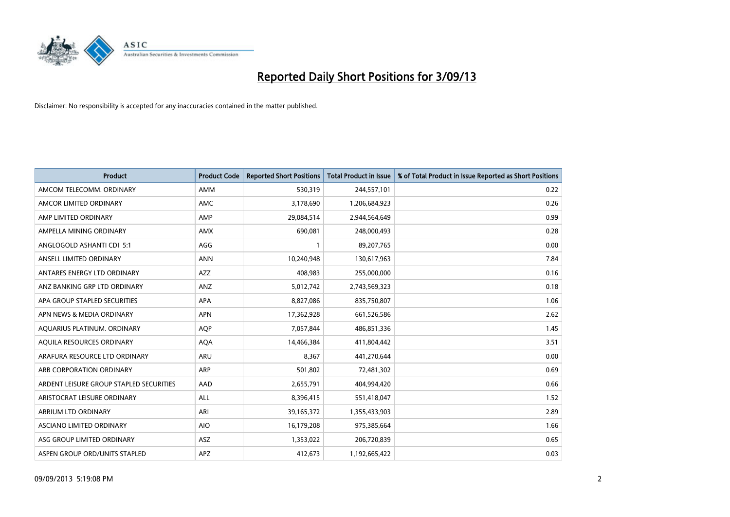

| <b>Product</b>                          | <b>Product Code</b> | <b>Reported Short Positions</b> | <b>Total Product in Issue</b> | % of Total Product in Issue Reported as Short Positions |
|-----------------------------------------|---------------------|---------------------------------|-------------------------------|---------------------------------------------------------|
| AMCOM TELECOMM, ORDINARY                | AMM                 | 530,319                         | 244,557,101                   | 0.22                                                    |
| AMCOR LIMITED ORDINARY                  | <b>AMC</b>          | 3,178,690                       | 1,206,684,923                 | 0.26                                                    |
| AMP LIMITED ORDINARY                    | AMP                 | 29,084,514                      | 2,944,564,649                 | 0.99                                                    |
| AMPELLA MINING ORDINARY                 | AMX                 | 690,081                         | 248,000,493                   | 0.28                                                    |
| ANGLOGOLD ASHANTI CDI 5:1               | AGG                 | 1                               | 89,207,765                    | 0.00                                                    |
| ANSELL LIMITED ORDINARY                 | <b>ANN</b>          | 10,240,948                      | 130,617,963                   | 7.84                                                    |
| ANTARES ENERGY LTD ORDINARY             | AZZ                 | 408.983                         | 255,000,000                   | 0.16                                                    |
| ANZ BANKING GRP LTD ORDINARY            | ANZ                 | 5,012,742                       | 2,743,569,323                 | 0.18                                                    |
| APA GROUP STAPLED SECURITIES            | <b>APA</b>          | 8,827,086                       | 835,750,807                   | 1.06                                                    |
| APN NEWS & MEDIA ORDINARY               | <b>APN</b>          | 17,362,928                      | 661,526,586                   | 2.62                                                    |
| AQUARIUS PLATINUM. ORDINARY             | AQP                 | 7,057,844                       | 486,851,336                   | 1.45                                                    |
| AQUILA RESOURCES ORDINARY               | <b>AQA</b>          | 14,466,384                      | 411,804,442                   | 3.51                                                    |
| ARAFURA RESOURCE LTD ORDINARY           | <b>ARU</b>          | 8.367                           | 441,270,644                   | 0.00                                                    |
| ARB CORPORATION ORDINARY                | ARP                 | 501,802                         | 72,481,302                    | 0.69                                                    |
| ARDENT LEISURE GROUP STAPLED SECURITIES | AAD                 | 2,655,791                       | 404,994,420                   | 0.66                                                    |
| ARISTOCRAT LEISURE ORDINARY             | <b>ALL</b>          | 8,396,415                       | 551,418,047                   | 1.52                                                    |
| ARRIUM LTD ORDINARY                     | ARI                 | 39,165,372                      | 1,355,433,903                 | 2.89                                                    |
| ASCIANO LIMITED ORDINARY                | <b>AIO</b>          | 16,179,208                      | 975,385,664                   | 1.66                                                    |
| ASG GROUP LIMITED ORDINARY              | ASZ                 | 1,353,022                       | 206,720,839                   | 0.65                                                    |
| ASPEN GROUP ORD/UNITS STAPLED           | APZ                 | 412,673                         | 1,192,665,422                 | 0.03                                                    |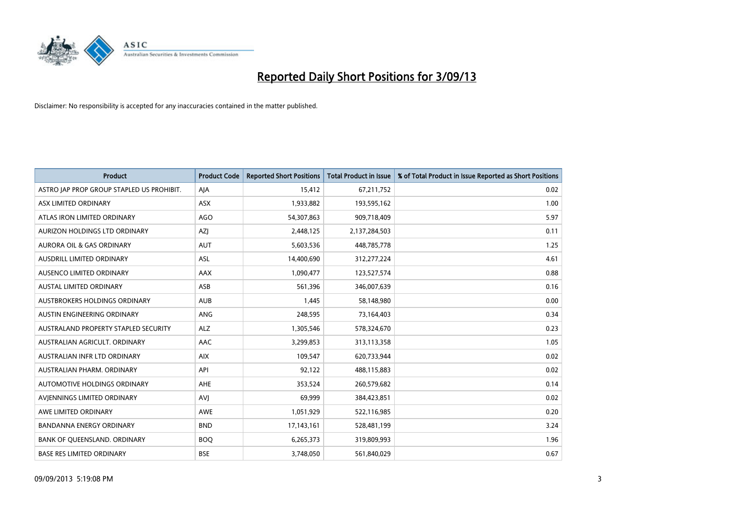

| <b>Product</b>                            | <b>Product Code</b> | <b>Reported Short Positions</b> | <b>Total Product in Issue</b> | % of Total Product in Issue Reported as Short Positions |
|-------------------------------------------|---------------------|---------------------------------|-------------------------------|---------------------------------------------------------|
| ASTRO JAP PROP GROUP STAPLED US PROHIBIT. | AJA                 | 15,412                          | 67,211,752                    | 0.02                                                    |
| ASX LIMITED ORDINARY                      | ASX                 | 1,933,882                       | 193,595,162                   | 1.00                                                    |
| ATLAS IRON LIMITED ORDINARY               | <b>AGO</b>          | 54,307,863                      | 909,718,409                   | 5.97                                                    |
| AURIZON HOLDINGS LTD ORDINARY             | AZJ                 | 2,448,125                       | 2,137,284,503                 | 0.11                                                    |
| <b>AURORA OIL &amp; GAS ORDINARY</b>      | AUT                 | 5,603,536                       | 448,785,778                   | 1.25                                                    |
| AUSDRILL LIMITED ORDINARY                 | <b>ASL</b>          | 14,400,690                      | 312,277,224                   | 4.61                                                    |
| AUSENCO LIMITED ORDINARY                  | AAX                 | 1,090,477                       | 123,527,574                   | 0.88                                                    |
| AUSTAL LIMITED ORDINARY                   | ASB                 | 561,396                         | 346,007,639                   | 0.16                                                    |
| AUSTBROKERS HOLDINGS ORDINARY             | <b>AUB</b>          | 1,445                           | 58,148,980                    | 0.00                                                    |
| AUSTIN ENGINEERING ORDINARY               | ANG                 | 248,595                         | 73,164,403                    | 0.34                                                    |
| AUSTRALAND PROPERTY STAPLED SECURITY      | <b>ALZ</b>          | 1,305,546                       | 578,324,670                   | 0.23                                                    |
| AUSTRALIAN AGRICULT, ORDINARY             | AAC                 | 3,299,853                       | 313,113,358                   | 1.05                                                    |
| AUSTRALIAN INFR LTD ORDINARY              | <b>AIX</b>          | 109,547                         | 620,733,944                   | 0.02                                                    |
| AUSTRALIAN PHARM, ORDINARY                | API                 | 92,122                          | 488,115,883                   | 0.02                                                    |
| <b>AUTOMOTIVE HOLDINGS ORDINARY</b>       | <b>AHE</b>          | 353,524                         | 260,579,682                   | 0.14                                                    |
| AVIENNINGS LIMITED ORDINARY               | <b>AVI</b>          | 69,999                          | 384,423,851                   | 0.02                                                    |
| AWE LIMITED ORDINARY                      | AWE                 | 1,051,929                       | 522,116,985                   | 0.20                                                    |
| <b>BANDANNA ENERGY ORDINARY</b>           | <b>BND</b>          | 17,143,161                      | 528,481,199                   | 3.24                                                    |
| BANK OF QUEENSLAND. ORDINARY              | <b>BOQ</b>          | 6,265,373                       | 319,809,993                   | 1.96                                                    |
| <b>BASE RES LIMITED ORDINARY</b>          | <b>BSE</b>          | 3,748,050                       | 561,840,029                   | 0.67                                                    |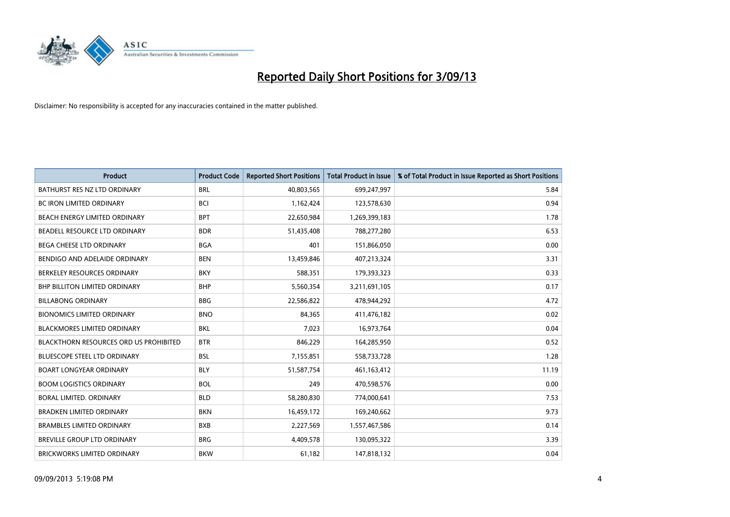

| <b>Product</b>                                | <b>Product Code</b> | <b>Reported Short Positions</b> | <b>Total Product in Issue</b> | % of Total Product in Issue Reported as Short Positions |
|-----------------------------------------------|---------------------|---------------------------------|-------------------------------|---------------------------------------------------------|
| BATHURST RES NZ LTD ORDINARY                  | <b>BRL</b>          | 40,803,565                      | 699,247,997                   | 5.84                                                    |
| <b>BC IRON LIMITED ORDINARY</b>               | <b>BCI</b>          | 1,162,424                       | 123,578,630                   | 0.94                                                    |
| BEACH ENERGY LIMITED ORDINARY                 | <b>BPT</b>          | 22,650,984                      | 1,269,399,183                 | 1.78                                                    |
| BEADELL RESOURCE LTD ORDINARY                 | <b>BDR</b>          | 51,435,408                      | 788,277,280                   | 6.53                                                    |
| <b>BEGA CHEESE LTD ORDINARY</b>               | <b>BGA</b>          | 401                             | 151,866,050                   | 0.00                                                    |
| BENDIGO AND ADELAIDE ORDINARY                 | <b>BEN</b>          | 13,459,846                      | 407,213,324                   | 3.31                                                    |
| BERKELEY RESOURCES ORDINARY                   | <b>BKY</b>          | 588,351                         | 179,393,323                   | 0.33                                                    |
| <b>BHP BILLITON LIMITED ORDINARY</b>          | <b>BHP</b>          | 5,560,354                       | 3,211,691,105                 | 0.17                                                    |
| <b>BILLABONG ORDINARY</b>                     | <b>BBG</b>          | 22,586,822                      | 478,944,292                   | 4.72                                                    |
| <b>BIONOMICS LIMITED ORDINARY</b>             | <b>BNO</b>          | 84,365                          | 411,476,182                   | 0.02                                                    |
| <b>BLACKMORES LIMITED ORDINARY</b>            | <b>BKL</b>          | 7,023                           | 16,973,764                    | 0.04                                                    |
| <b>BLACKTHORN RESOURCES ORD US PROHIBITED</b> | <b>BTR</b>          | 846,229                         | 164,285,950                   | 0.52                                                    |
| <b>BLUESCOPE STEEL LTD ORDINARY</b>           | <b>BSL</b>          | 7,155,851                       | 558,733,728                   | 1.28                                                    |
| <b>BOART LONGYEAR ORDINARY</b>                | <b>BLY</b>          | 51,587,754                      | 461,163,412                   | 11.19                                                   |
| <b>BOOM LOGISTICS ORDINARY</b>                | <b>BOL</b>          | 249                             | 470,598,576                   | 0.00                                                    |
| BORAL LIMITED. ORDINARY                       | <b>BLD</b>          | 58,280,830                      | 774,000,641                   | 7.53                                                    |
| <b>BRADKEN LIMITED ORDINARY</b>               | <b>BKN</b>          | 16,459,172                      | 169,240,662                   | 9.73                                                    |
| <b>BRAMBLES LIMITED ORDINARY</b>              | <b>BXB</b>          | 2,227,569                       | 1,557,467,586                 | 0.14                                                    |
| <b>BREVILLE GROUP LTD ORDINARY</b>            | <b>BRG</b>          | 4,409,578                       | 130,095,322                   | 3.39                                                    |
| BRICKWORKS LIMITED ORDINARY                   | <b>BKW</b>          | 61,182                          | 147,818,132                   | 0.04                                                    |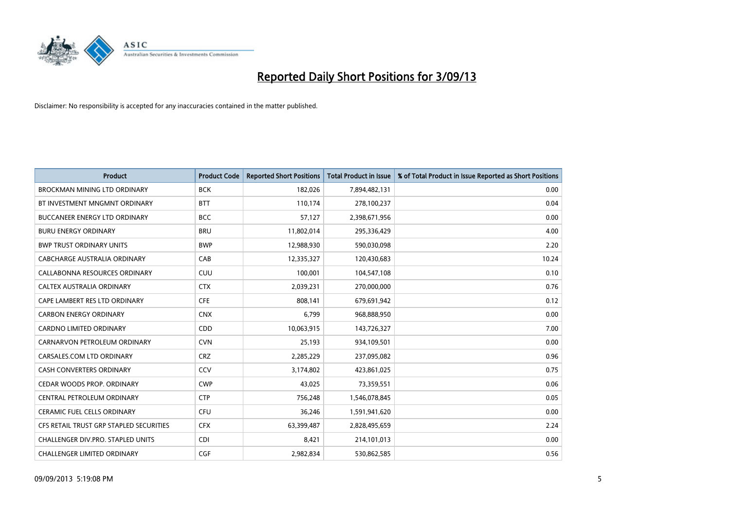

| <b>Product</b>                          | <b>Product Code</b> | <b>Reported Short Positions</b> | <b>Total Product in Issue</b> | % of Total Product in Issue Reported as Short Positions |
|-----------------------------------------|---------------------|---------------------------------|-------------------------------|---------------------------------------------------------|
| <b>BROCKMAN MINING LTD ORDINARY</b>     | <b>BCK</b>          | 182,026                         | 7,894,482,131                 | 0.00                                                    |
| BT INVESTMENT MNGMNT ORDINARY           | <b>BTT</b>          | 110,174                         | 278,100,237                   | 0.04                                                    |
| <b>BUCCANEER ENERGY LTD ORDINARY</b>    | <b>BCC</b>          | 57,127                          | 2,398,671,956                 | 0.00                                                    |
| <b>BURU ENERGY ORDINARY</b>             | <b>BRU</b>          | 11,802,014                      | 295,336,429                   | 4.00                                                    |
| <b>BWP TRUST ORDINARY UNITS</b>         | <b>BWP</b>          | 12,988,930                      | 590,030,098                   | 2.20                                                    |
| <b>CABCHARGE AUSTRALIA ORDINARY</b>     | CAB                 | 12,335,327                      | 120,430,683                   | 10.24                                                   |
| CALLABONNA RESOURCES ORDINARY           | <b>CUU</b>          | 100,001                         | 104,547,108                   | 0.10                                                    |
| CALTEX AUSTRALIA ORDINARY               | <b>CTX</b>          | 2,039,231                       | 270,000,000                   | 0.76                                                    |
| CAPE LAMBERT RES LTD ORDINARY           | <b>CFE</b>          | 808,141                         | 679,691,942                   | 0.12                                                    |
| <b>CARBON ENERGY ORDINARY</b>           | <b>CNX</b>          | 6,799                           | 968,888,950                   | 0.00                                                    |
| CARDNO LIMITED ORDINARY                 | CDD                 | 10,063,915                      | 143,726,327                   | 7.00                                                    |
| CARNARVON PETROLEUM ORDINARY            | <b>CVN</b>          | 25,193                          | 934,109,501                   | 0.00                                                    |
| CARSALES.COM LTD ORDINARY               | <b>CRZ</b>          | 2,285,229                       | 237,095,082                   | 0.96                                                    |
| <b>CASH CONVERTERS ORDINARY</b>         | CCV                 | 3,174,802                       | 423,861,025                   | 0.75                                                    |
| CEDAR WOODS PROP. ORDINARY              | <b>CWP</b>          | 43,025                          | 73,359,551                    | 0.06                                                    |
| CENTRAL PETROLEUM ORDINARY              | <b>CTP</b>          | 756,248                         | 1,546,078,845                 | 0.05                                                    |
| CERAMIC FUEL CELLS ORDINARY             | <b>CFU</b>          | 36,246                          | 1,591,941,620                 | 0.00                                                    |
| CFS RETAIL TRUST GRP STAPLED SECURITIES | <b>CFX</b>          | 63,399,487                      | 2,828,495,659                 | 2.24                                                    |
| CHALLENGER DIV.PRO. STAPLED UNITS       | <b>CDI</b>          | 8,421                           | 214,101,013                   | 0.00                                                    |
| CHALLENGER LIMITED ORDINARY             | <b>CGF</b>          | 2,982,834                       | 530,862,585                   | 0.56                                                    |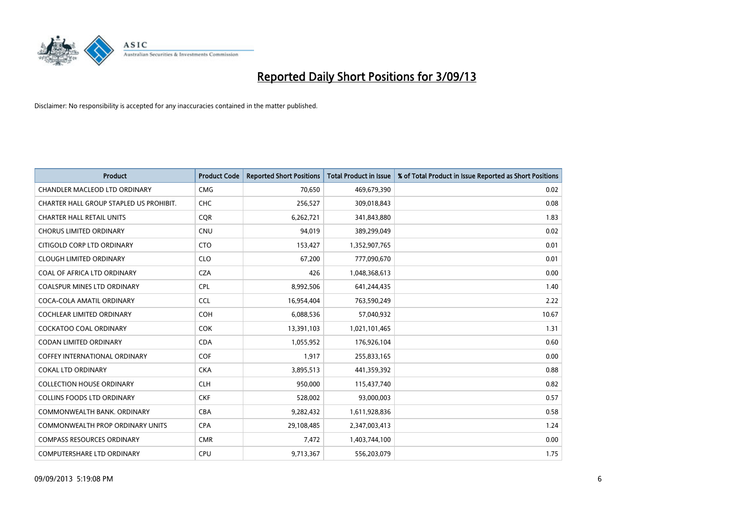

| <b>Product</b>                          | <b>Product Code</b> | <b>Reported Short Positions</b> | <b>Total Product in Issue</b> | % of Total Product in Issue Reported as Short Positions |
|-----------------------------------------|---------------------|---------------------------------|-------------------------------|---------------------------------------------------------|
| <b>CHANDLER MACLEOD LTD ORDINARY</b>    | <b>CMG</b>          | 70,650                          | 469,679,390                   | 0.02                                                    |
| CHARTER HALL GROUP STAPLED US PROHIBIT. | <b>CHC</b>          | 256,527                         | 309,018,843                   | 0.08                                                    |
| <b>CHARTER HALL RETAIL UNITS</b>        | <b>CQR</b>          | 6,262,721                       | 341,843,880                   | 1.83                                                    |
| <b>CHORUS LIMITED ORDINARY</b>          | <b>CNU</b>          | 94,019                          | 389,299,049                   | 0.02                                                    |
| CITIGOLD CORP LTD ORDINARY              | <b>CTO</b>          | 153,427                         | 1,352,907,765                 | 0.01                                                    |
| <b>CLOUGH LIMITED ORDINARY</b>          | <b>CLO</b>          | 67,200                          | 777,090,670                   | 0.01                                                    |
| COAL OF AFRICA LTD ORDINARY             | <b>CZA</b>          | 426                             | 1,048,368,613                 | 0.00                                                    |
| COALSPUR MINES LTD ORDINARY             | <b>CPL</b>          | 8,992,506                       | 641,244,435                   | 1.40                                                    |
| COCA-COLA AMATIL ORDINARY               | <b>CCL</b>          | 16,954,404                      | 763,590,249                   | 2.22                                                    |
| <b>COCHLEAR LIMITED ORDINARY</b>        | <b>COH</b>          | 6,088,536                       | 57,040,932                    | 10.67                                                   |
| COCKATOO COAL ORDINARY                  | <b>COK</b>          | 13,391,103                      | 1,021,101,465                 | 1.31                                                    |
| <b>CODAN LIMITED ORDINARY</b>           | <b>CDA</b>          | 1,055,952                       | 176,926,104                   | 0.60                                                    |
| <b>COFFEY INTERNATIONAL ORDINARY</b>    | <b>COF</b>          | 1,917                           | 255,833,165                   | 0.00                                                    |
| <b>COKAL LTD ORDINARY</b>               | <b>CKA</b>          | 3,895,513                       | 441,359,392                   | 0.88                                                    |
| <b>COLLECTION HOUSE ORDINARY</b>        | <b>CLH</b>          | 950,000                         | 115,437,740                   | 0.82                                                    |
| <b>COLLINS FOODS LTD ORDINARY</b>       | <b>CKF</b>          | 528,002                         | 93,000,003                    | 0.57                                                    |
| COMMONWEALTH BANK, ORDINARY             | <b>CBA</b>          | 9,282,432                       | 1,611,928,836                 | 0.58                                                    |
| <b>COMMONWEALTH PROP ORDINARY UNITS</b> | <b>CPA</b>          | 29,108,485                      | 2,347,003,413                 | 1.24                                                    |
| <b>COMPASS RESOURCES ORDINARY</b>       | <b>CMR</b>          | 7,472                           | 1,403,744,100                 | 0.00                                                    |
| COMPUTERSHARE LTD ORDINARY              | <b>CPU</b>          | 9,713,367                       | 556,203,079                   | 1.75                                                    |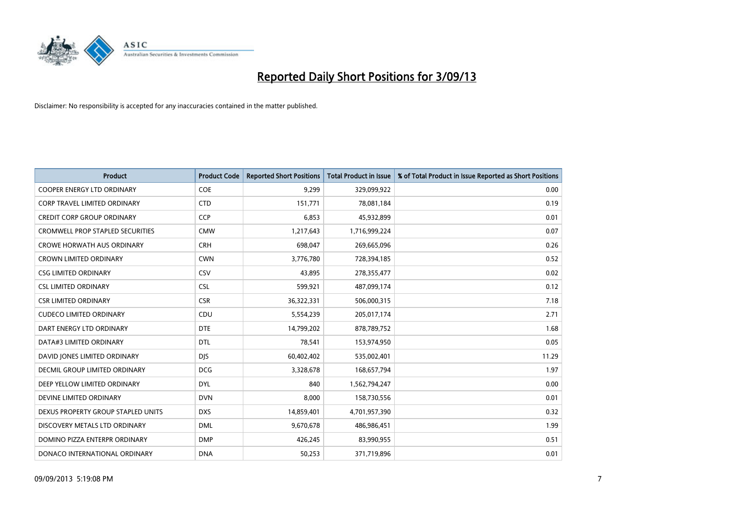

| <b>Product</b>                          | <b>Product Code</b> | <b>Reported Short Positions</b> | <b>Total Product in Issue</b> | % of Total Product in Issue Reported as Short Positions |
|-----------------------------------------|---------------------|---------------------------------|-------------------------------|---------------------------------------------------------|
| <b>COOPER ENERGY LTD ORDINARY</b>       | <b>COE</b>          | 9,299                           | 329,099,922                   | 0.00                                                    |
| CORP TRAVEL LIMITED ORDINARY            | <b>CTD</b>          | 151,771                         | 78,081,184                    | 0.19                                                    |
| <b>CREDIT CORP GROUP ORDINARY</b>       | <b>CCP</b>          | 6,853                           | 45,932,899                    | 0.01                                                    |
| <b>CROMWELL PROP STAPLED SECURITIES</b> | <b>CMW</b>          | 1,217,643                       | 1,716,999,224                 | 0.07                                                    |
| <b>CROWE HORWATH AUS ORDINARY</b>       | <b>CRH</b>          | 698,047                         | 269,665,096                   | 0.26                                                    |
| <b>CROWN LIMITED ORDINARY</b>           | <b>CWN</b>          | 3,776,780                       | 728,394,185                   | 0.52                                                    |
| <b>CSG LIMITED ORDINARY</b>             | <b>CSV</b>          | 43,895                          | 278,355,477                   | 0.02                                                    |
| <b>CSL LIMITED ORDINARY</b>             | <b>CSL</b>          | 599,921                         | 487,099,174                   | 0.12                                                    |
| <b>CSR LIMITED ORDINARY</b>             | <b>CSR</b>          | 36,322,331                      | 506,000,315                   | 7.18                                                    |
| <b>CUDECO LIMITED ORDINARY</b>          | CDU                 | 5,554,239                       | 205,017,174                   | 2.71                                                    |
| DART ENERGY LTD ORDINARY                | <b>DTE</b>          | 14,799,202                      | 878,789,752                   | 1.68                                                    |
| DATA#3 LIMITED ORDINARY                 | <b>DTL</b>          | 78,541                          | 153,974,950                   | 0.05                                                    |
| DAVID JONES LIMITED ORDINARY            | <b>DJS</b>          | 60,402,402                      | 535,002,401                   | 11.29                                                   |
| DECMIL GROUP LIMITED ORDINARY           | <b>DCG</b>          | 3,328,678                       | 168,657,794                   | 1.97                                                    |
| DEEP YELLOW LIMITED ORDINARY            | <b>DYL</b>          | 840                             | 1,562,794,247                 | 0.00                                                    |
| DEVINE LIMITED ORDINARY                 | <b>DVN</b>          | 8,000                           | 158,730,556                   | 0.01                                                    |
| DEXUS PROPERTY GROUP STAPLED UNITS      | <b>DXS</b>          | 14,859,401                      | 4,701,957,390                 | 0.32                                                    |
| DISCOVERY METALS LTD ORDINARY           | <b>DML</b>          | 9,670,678                       | 486,986,451                   | 1.99                                                    |
| DOMINO PIZZA ENTERPR ORDINARY           | <b>DMP</b>          | 426,245                         | 83,990,955                    | 0.51                                                    |
| DONACO INTERNATIONAL ORDINARY           | <b>DNA</b>          | 50,253                          | 371,719,896                   | 0.01                                                    |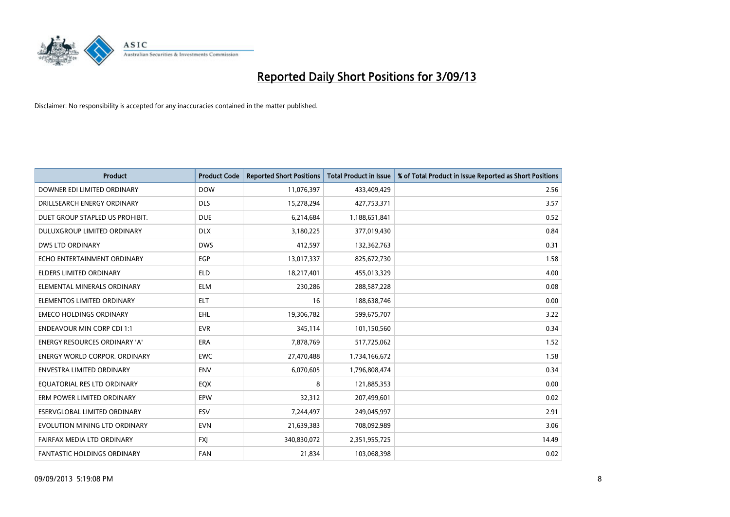

| <b>Product</b>                       | <b>Product Code</b> | <b>Reported Short Positions</b> | <b>Total Product in Issue</b> | % of Total Product in Issue Reported as Short Positions |
|--------------------------------------|---------------------|---------------------------------|-------------------------------|---------------------------------------------------------|
| DOWNER EDI LIMITED ORDINARY          | <b>DOW</b>          | 11,076,397                      | 433,409,429                   | 2.56                                                    |
| DRILLSEARCH ENERGY ORDINARY          | <b>DLS</b>          | 15,278,294                      | 427,753,371                   | 3.57                                                    |
| DUET GROUP STAPLED US PROHIBIT.      | <b>DUE</b>          | 6,214,684                       | 1,188,651,841                 | 0.52                                                    |
| DULUXGROUP LIMITED ORDINARY          | <b>DLX</b>          | 3,180,225                       | 377,019,430                   | 0.84                                                    |
| <b>DWS LTD ORDINARY</b>              | <b>DWS</b>          | 412,597                         | 132,362,763                   | 0.31                                                    |
| ECHO ENTERTAINMENT ORDINARY          | EGP                 | 13,017,337                      | 825,672,730                   | 1.58                                                    |
| <b>ELDERS LIMITED ORDINARY</b>       | <b>ELD</b>          | 18,217,401                      | 455,013,329                   | 4.00                                                    |
| ELEMENTAL MINERALS ORDINARY          | <b>ELM</b>          | 230,286                         | 288,587,228                   | 0.08                                                    |
| ELEMENTOS LIMITED ORDINARY           | <b>ELT</b>          | 16                              | 188,638,746                   | 0.00                                                    |
| <b>EMECO HOLDINGS ORDINARY</b>       | <b>EHL</b>          | 19,306,782                      | 599,675,707                   | 3.22                                                    |
| <b>ENDEAVOUR MIN CORP CDI 1:1</b>    | <b>EVR</b>          | 345,114                         | 101,150,560                   | 0.34                                                    |
| <b>ENERGY RESOURCES ORDINARY 'A'</b> | ERA                 | 7,878,769                       | 517,725,062                   | 1.52                                                    |
| <b>ENERGY WORLD CORPOR. ORDINARY</b> | <b>EWC</b>          | 27,470,488                      | 1,734,166,672                 | 1.58                                                    |
| <b>ENVESTRA LIMITED ORDINARY</b>     | ENV                 | 6,070,605                       | 1,796,808,474                 | 0.34                                                    |
| EQUATORIAL RES LTD ORDINARY          | EQX                 | 8                               | 121,885,353                   | 0.00                                                    |
| ERM POWER LIMITED ORDINARY           | EPW                 | 32,312                          | 207,499,601                   | 0.02                                                    |
| ESERVGLOBAL LIMITED ORDINARY         | ESV                 | 7,244,497                       | 249,045,997                   | 2.91                                                    |
| EVOLUTION MINING LTD ORDINARY        | <b>EVN</b>          | 21,639,383                      | 708,092,989                   | 3.06                                                    |
| FAIRFAX MEDIA LTD ORDINARY           | <b>FXI</b>          | 340,830,072                     | 2,351,955,725                 | 14.49                                                   |
| FANTASTIC HOLDINGS ORDINARY          | <b>FAN</b>          | 21,834                          | 103,068,398                   | 0.02                                                    |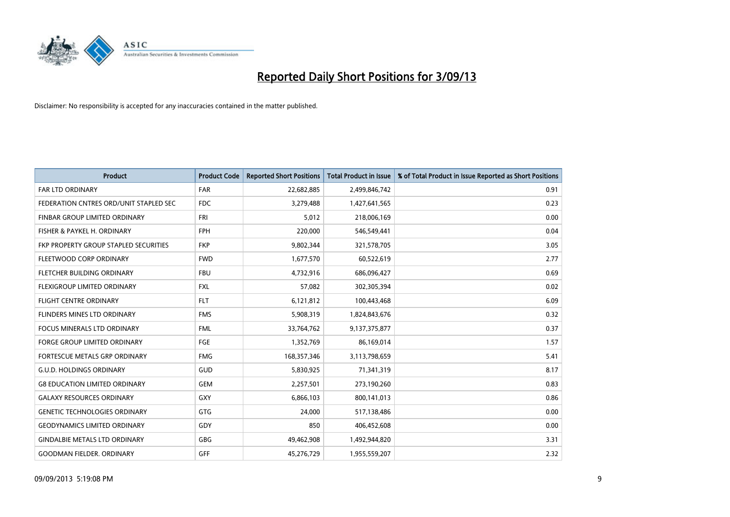

| <b>Product</b>                         | <b>Product Code</b> | <b>Reported Short Positions</b> | <b>Total Product in Issue</b> | % of Total Product in Issue Reported as Short Positions |
|----------------------------------------|---------------------|---------------------------------|-------------------------------|---------------------------------------------------------|
| <b>FAR LTD ORDINARY</b>                | <b>FAR</b>          | 22,682,885                      | 2,499,846,742                 | 0.91                                                    |
| FEDERATION CNTRES ORD/UNIT STAPLED SEC | <b>FDC</b>          | 3,279,488                       | 1,427,641,565                 | 0.23                                                    |
| <b>FINBAR GROUP LIMITED ORDINARY</b>   | FRI                 | 5,012                           | 218,006,169                   | 0.00                                                    |
| FISHER & PAYKEL H. ORDINARY            | <b>FPH</b>          | 220,000                         | 546,549,441                   | 0.04                                                    |
| FKP PROPERTY GROUP STAPLED SECURITIES  | <b>FKP</b>          | 9,802,344                       | 321,578,705                   | 3.05                                                    |
| FLEETWOOD CORP ORDINARY                | <b>FWD</b>          | 1,677,570                       | 60,522,619                    | 2.77                                                    |
| FLETCHER BUILDING ORDINARY             | <b>FBU</b>          | 4,732,916                       | 686,096,427                   | 0.69                                                    |
| <b>FLEXIGROUP LIMITED ORDINARY</b>     | <b>FXL</b>          | 57,082                          | 302,305,394                   | 0.02                                                    |
| FLIGHT CENTRE ORDINARY                 | <b>FLT</b>          | 6,121,812                       | 100,443,468                   | 6.09                                                    |
| FLINDERS MINES LTD ORDINARY            | <b>FMS</b>          | 5,908,319                       | 1,824,843,676                 | 0.32                                                    |
| <b>FOCUS MINERALS LTD ORDINARY</b>     | <b>FML</b>          | 33,764,762                      | 9,137,375,877                 | 0.37                                                    |
| <b>FORGE GROUP LIMITED ORDINARY</b>    | FGE                 | 1,352,769                       | 86,169,014                    | 1.57                                                    |
| FORTESCUE METALS GRP ORDINARY          | <b>FMG</b>          | 168,357,346                     | 3,113,798,659                 | 5.41                                                    |
| <b>G.U.D. HOLDINGS ORDINARY</b>        | GUD                 | 5,830,925                       | 71,341,319                    | 8.17                                                    |
| <b>G8 EDUCATION LIMITED ORDINARY</b>   | <b>GEM</b>          | 2,257,501                       | 273,190,260                   | 0.83                                                    |
| <b>GALAXY RESOURCES ORDINARY</b>       | GXY                 | 6,866,103                       | 800,141,013                   | 0.86                                                    |
| <b>GENETIC TECHNOLOGIES ORDINARY</b>   | GTG                 | 24,000                          | 517,138,486                   | 0.00                                                    |
| <b>GEODYNAMICS LIMITED ORDINARY</b>    | GDY                 | 850                             | 406,452,608                   | 0.00                                                    |
| <b>GINDALBIE METALS LTD ORDINARY</b>   | GBG                 | 49,462,908                      | 1,492,944,820                 | 3.31                                                    |
| <b>GOODMAN FIELDER. ORDINARY</b>       | GFF                 | 45,276,729                      | 1,955,559,207                 | 2.32                                                    |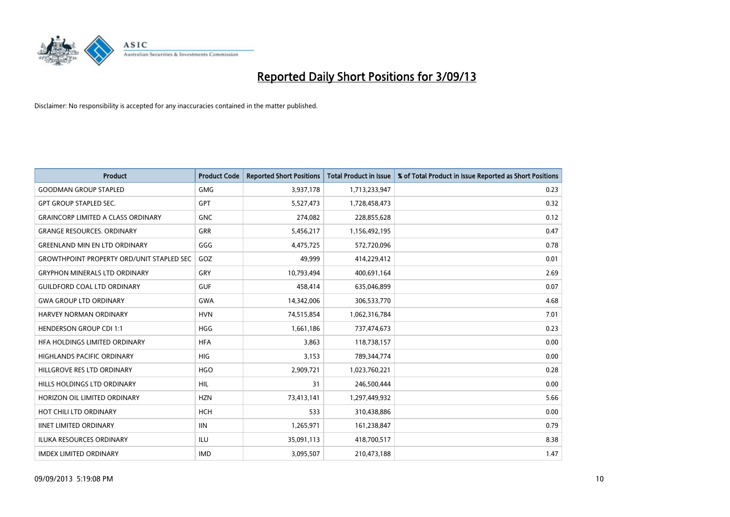

| <b>Product</b>                                   | <b>Product Code</b> | <b>Reported Short Positions</b> | <b>Total Product in Issue</b> | % of Total Product in Issue Reported as Short Positions |
|--------------------------------------------------|---------------------|---------------------------------|-------------------------------|---------------------------------------------------------|
| <b>GOODMAN GROUP STAPLED</b>                     | <b>GMG</b>          | 3,937,178                       | 1,713,233,947                 | 0.23                                                    |
| <b>GPT GROUP STAPLED SEC.</b>                    | GPT                 | 5,527,473                       | 1,728,458,473                 | 0.32                                                    |
| <b>GRAINCORP LIMITED A CLASS ORDINARY</b>        | <b>GNC</b>          | 274,082                         | 228,855,628                   | 0.12                                                    |
| <b>GRANGE RESOURCES, ORDINARY</b>                | GRR                 | 5,456,217                       | 1,156,492,195                 | 0.47                                                    |
| <b>GREENLAND MIN EN LTD ORDINARY</b>             | GGG                 | 4,475,725                       | 572,720,096                   | 0.78                                                    |
| <b>GROWTHPOINT PROPERTY ORD/UNIT STAPLED SEC</b> | GOZ                 | 49,999                          | 414,229,412                   | 0.01                                                    |
| <b>GRYPHON MINERALS LTD ORDINARY</b>             | GRY                 | 10,793,494                      | 400,691,164                   | 2.69                                                    |
| <b>GUILDFORD COAL LTD ORDINARY</b>               | <b>GUF</b>          | 458,414                         | 635,046,899                   | 0.07                                                    |
| <b>GWA GROUP LTD ORDINARY</b>                    | <b>GWA</b>          | 14,342,006                      | 306,533,770                   | 4.68                                                    |
| <b>HARVEY NORMAN ORDINARY</b>                    | <b>HVN</b>          | 74,515,854                      | 1,062,316,784                 | 7.01                                                    |
| <b>HENDERSON GROUP CDI 1:1</b>                   | <b>HGG</b>          | 1,661,186                       | 737,474,673                   | 0.23                                                    |
| HFA HOLDINGS LIMITED ORDINARY                    | <b>HFA</b>          | 3,863                           | 118,738,157                   | 0.00                                                    |
| <b>HIGHLANDS PACIFIC ORDINARY</b>                | <b>HIG</b>          | 3,153                           | 789,344,774                   | 0.00                                                    |
| HILLGROVE RES LTD ORDINARY                       | <b>HGO</b>          | 2,909,721                       | 1,023,760,221                 | 0.28                                                    |
| <b>HILLS HOLDINGS LTD ORDINARY</b>               | <b>HIL</b>          | 31                              | 246,500,444                   | 0.00                                                    |
| HORIZON OIL LIMITED ORDINARY                     | <b>HZN</b>          | 73,413,141                      | 1,297,449,932                 | 5.66                                                    |
| HOT CHILI LTD ORDINARY                           | <b>HCH</b>          | 533                             | 310,438,886                   | 0.00                                                    |
| <b>IINET LIMITED ORDINARY</b>                    | <b>IIN</b>          | 1,265,971                       | 161,238,847                   | 0.79                                                    |
| <b>ILUKA RESOURCES ORDINARY</b>                  | ILU                 | 35,091,113                      | 418,700,517                   | 8.38                                                    |
| <b>IMDEX LIMITED ORDINARY</b>                    | <b>IMD</b>          | 3,095,507                       | 210,473,188                   | 1.47                                                    |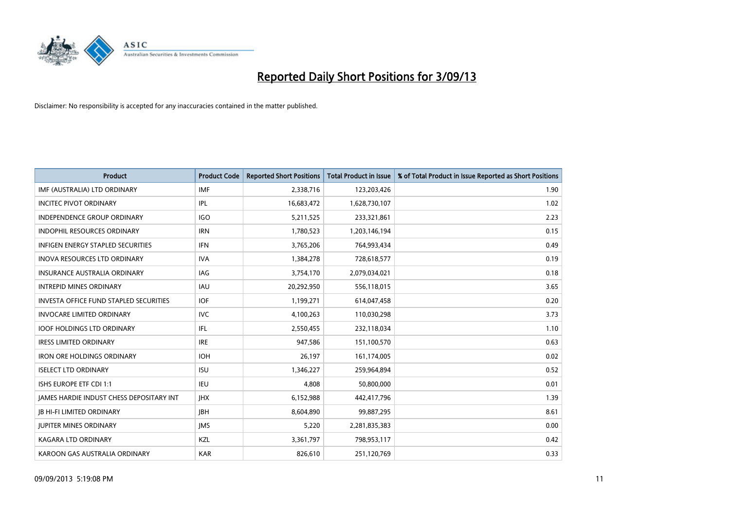

| <b>Product</b>                                  | <b>Product Code</b> | <b>Reported Short Positions</b> | <b>Total Product in Issue</b> | % of Total Product in Issue Reported as Short Positions |
|-------------------------------------------------|---------------------|---------------------------------|-------------------------------|---------------------------------------------------------|
| IMF (AUSTRALIA) LTD ORDINARY                    | <b>IMF</b>          | 2,338,716                       | 123,203,426                   | 1.90                                                    |
| <b>INCITEC PIVOT ORDINARY</b>                   | IPL                 | 16,683,472                      | 1,628,730,107                 | 1.02                                                    |
| <b>INDEPENDENCE GROUP ORDINARY</b>              | <b>IGO</b>          | 5,211,525                       | 233,321,861                   | 2.23                                                    |
| INDOPHIL RESOURCES ORDINARY                     | <b>IRN</b>          | 1,780,523                       | 1,203,146,194                 | 0.15                                                    |
| <b>INFIGEN ENERGY STAPLED SECURITIES</b>        | <b>IFN</b>          | 3,765,206                       | 764,993,434                   | 0.49                                                    |
| <b>INOVA RESOURCES LTD ORDINARY</b>             | <b>IVA</b>          | 1,384,278                       | 728,618,577                   | 0.19                                                    |
| <b>INSURANCE AUSTRALIA ORDINARY</b>             | IAG                 | 3,754,170                       | 2,079,034,021                 | 0.18                                                    |
| <b>INTREPID MINES ORDINARY</b>                  | <b>IAU</b>          | 20,292,950                      | 556,118,015                   | 3.65                                                    |
| <b>INVESTA OFFICE FUND STAPLED SECURITIES</b>   | <b>IOF</b>          | 1,199,271                       | 614,047,458                   | 0.20                                                    |
| <b>INVOCARE LIMITED ORDINARY</b>                | <b>IVC</b>          | 4,100,263                       | 110,030,298                   | 3.73                                                    |
| <b>IOOF HOLDINGS LTD ORDINARY</b>               | IFL                 | 2,550,455                       | 232,118,034                   | 1.10                                                    |
| <b>IRESS LIMITED ORDINARY</b>                   | <b>IRE</b>          | 947,586                         | 151,100,570                   | 0.63                                                    |
| <b>IRON ORE HOLDINGS ORDINARY</b>               | <b>IOH</b>          | 26,197                          | 161,174,005                   | 0.02                                                    |
| <b>ISELECT LTD ORDINARY</b>                     | <b>ISU</b>          | 1,346,227                       | 259,964,894                   | 0.52                                                    |
| ISHS EUROPE ETF CDI 1:1                         | <b>IEU</b>          | 4,808                           | 50,800,000                    | 0.01                                                    |
| <b>JAMES HARDIE INDUST CHESS DEPOSITARY INT</b> | <b>IHX</b>          | 6,152,988                       | 442,417,796                   | 1.39                                                    |
| <b>JB HI-FI LIMITED ORDINARY</b>                | <b>JBH</b>          | 8,604,890                       | 99,887,295                    | 8.61                                                    |
| <b>JUPITER MINES ORDINARY</b>                   | <b>IMS</b>          | 5,220                           | 2,281,835,383                 | 0.00                                                    |
| <b>KAGARA LTD ORDINARY</b>                      | KZL                 | 3,361,797                       | 798,953,117                   | 0.42                                                    |
| KAROON GAS AUSTRALIA ORDINARY                   | <b>KAR</b>          | 826,610                         | 251,120,769                   | 0.33                                                    |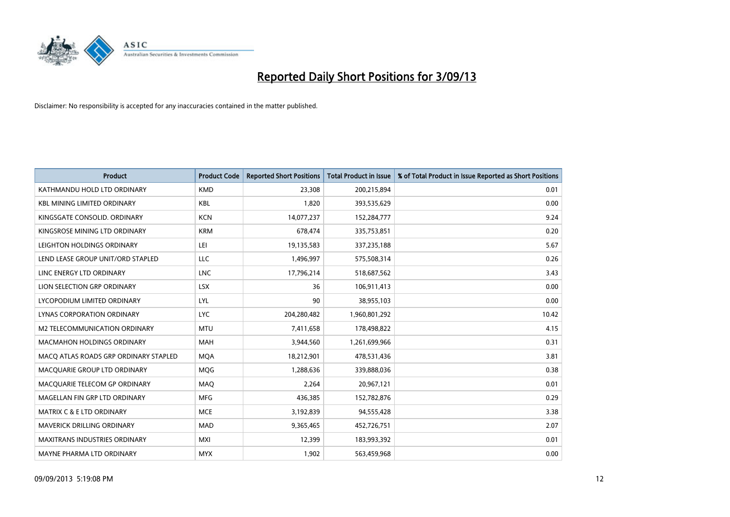

| <b>Product</b>                        | <b>Product Code</b> | <b>Reported Short Positions</b> | <b>Total Product in Issue</b> | % of Total Product in Issue Reported as Short Positions |
|---------------------------------------|---------------------|---------------------------------|-------------------------------|---------------------------------------------------------|
| KATHMANDU HOLD LTD ORDINARY           | <b>KMD</b>          | 23,308                          | 200,215,894                   | 0.01                                                    |
| <b>KBL MINING LIMITED ORDINARY</b>    | <b>KBL</b>          | 1,820                           | 393,535,629                   | 0.00                                                    |
| KINGSGATE CONSOLID. ORDINARY          | <b>KCN</b>          | 14,077,237                      | 152,284,777                   | 9.24                                                    |
| KINGSROSE MINING LTD ORDINARY         | <b>KRM</b>          | 678,474                         | 335,753,851                   | 0.20                                                    |
| LEIGHTON HOLDINGS ORDINARY            | LEI                 | 19,135,583                      | 337,235,188                   | 5.67                                                    |
| LEND LEASE GROUP UNIT/ORD STAPLED     | <b>LLC</b>          | 1,496,997                       | 575,508,314                   | 0.26                                                    |
| LINC ENERGY LTD ORDINARY              | <b>LNC</b>          | 17,796,214                      | 518,687,562                   | 3.43                                                    |
| LION SELECTION GRP ORDINARY           | <b>LSX</b>          | 36                              | 106,911,413                   | 0.00                                                    |
| LYCOPODIUM LIMITED ORDINARY           | <b>LYL</b>          | 90                              | 38,955,103                    | 0.00                                                    |
| LYNAS CORPORATION ORDINARY            | <b>LYC</b>          | 204,280,482                     | 1,960,801,292                 | 10.42                                                   |
| <b>M2 TELECOMMUNICATION ORDINARY</b>  | <b>MTU</b>          | 7,411,658                       | 178,498,822                   | 4.15                                                    |
| MACMAHON HOLDINGS ORDINARY            | MAH                 | 3,944,560                       | 1,261,699,966                 | 0.31                                                    |
| MACO ATLAS ROADS GRP ORDINARY STAPLED | <b>MOA</b>          | 18,212,901                      | 478,531,436                   | 3.81                                                    |
| MACQUARIE GROUP LTD ORDINARY          | MQG                 | 1,288,636                       | 339,888,036                   | 0.38                                                    |
| MACQUARIE TELECOM GP ORDINARY         | MAQ                 | 2,264                           | 20,967,121                    | 0.01                                                    |
| MAGELLAN FIN GRP LTD ORDINARY         | <b>MFG</b>          | 436,385                         | 152,782,876                   | 0.29                                                    |
| <b>MATRIX C &amp; E LTD ORDINARY</b>  | <b>MCE</b>          | 3,192,839                       | 94,555,428                    | 3.38                                                    |
| MAVERICK DRILLING ORDINARY            | <b>MAD</b>          | 9,365,465                       | 452,726,751                   | 2.07                                                    |
| <b>MAXITRANS INDUSTRIES ORDINARY</b>  | <b>MXI</b>          | 12,399                          | 183,993,392                   | 0.01                                                    |
| MAYNE PHARMA LTD ORDINARY             | <b>MYX</b>          | 1,902                           | 563,459,968                   | 0.00                                                    |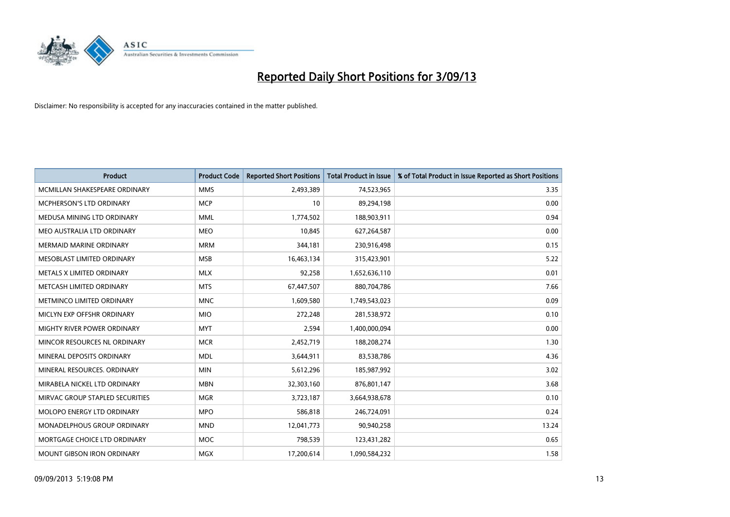

| <b>Product</b>                  | <b>Product Code</b> | <b>Reported Short Positions</b> | <b>Total Product in Issue</b> | % of Total Product in Issue Reported as Short Positions |
|---------------------------------|---------------------|---------------------------------|-------------------------------|---------------------------------------------------------|
| MCMILLAN SHAKESPEARE ORDINARY   | <b>MMS</b>          | 2,493,389                       | 74,523,965                    | 3.35                                                    |
| <b>MCPHERSON'S LTD ORDINARY</b> | <b>MCP</b>          | 10                              | 89,294,198                    | 0.00                                                    |
| MEDUSA MINING LTD ORDINARY      | <b>MML</b>          | 1,774,502                       | 188,903,911                   | 0.94                                                    |
| MEO AUSTRALIA LTD ORDINARY      | <b>MEO</b>          | 10,845                          | 627,264,587                   | 0.00                                                    |
| <b>MERMAID MARINE ORDINARY</b>  | <b>MRM</b>          | 344,181                         | 230,916,498                   | 0.15                                                    |
| MESOBLAST LIMITED ORDINARY      | <b>MSB</b>          | 16,463,134                      | 315,423,901                   | 5.22                                                    |
| METALS X LIMITED ORDINARY       | <b>MLX</b>          | 92,258                          | 1,652,636,110                 | 0.01                                                    |
| METCASH LIMITED ORDINARY        | <b>MTS</b>          | 67,447,507                      | 880,704,786                   | 7.66                                                    |
| METMINCO LIMITED ORDINARY       | <b>MNC</b>          | 1,609,580                       | 1,749,543,023                 | 0.09                                                    |
| MICLYN EXP OFFSHR ORDINARY      | <b>MIO</b>          | 272,248                         | 281,538,972                   | 0.10                                                    |
| MIGHTY RIVER POWER ORDINARY     | <b>MYT</b>          | 2,594                           | 1,400,000,094                 | 0.00                                                    |
| MINCOR RESOURCES NL ORDINARY    | <b>MCR</b>          | 2,452,719                       | 188,208,274                   | 1.30                                                    |
| MINERAL DEPOSITS ORDINARY       | <b>MDL</b>          | 3,644,911                       | 83,538,786                    | 4.36                                                    |
| MINERAL RESOURCES, ORDINARY     | <b>MIN</b>          | 5,612,296                       | 185,987,992                   | 3.02                                                    |
| MIRABELA NICKEL LTD ORDINARY    | <b>MBN</b>          | 32,303,160                      | 876,801,147                   | 3.68                                                    |
| MIRVAC GROUP STAPLED SECURITIES | <b>MGR</b>          | 3,723,187                       | 3,664,938,678                 | 0.10                                                    |
| MOLOPO ENERGY LTD ORDINARY      | <b>MPO</b>          | 586,818                         | 246,724,091                   | 0.24                                                    |
| MONADELPHOUS GROUP ORDINARY     | <b>MND</b>          | 12,041,773                      | 90,940,258                    | 13.24                                                   |
| MORTGAGE CHOICE LTD ORDINARY    | <b>MOC</b>          | 798,539                         | 123,431,282                   | 0.65                                                    |
| MOUNT GIBSON IRON ORDINARY      | <b>MGX</b>          | 17,200,614                      | 1,090,584,232                 | 1.58                                                    |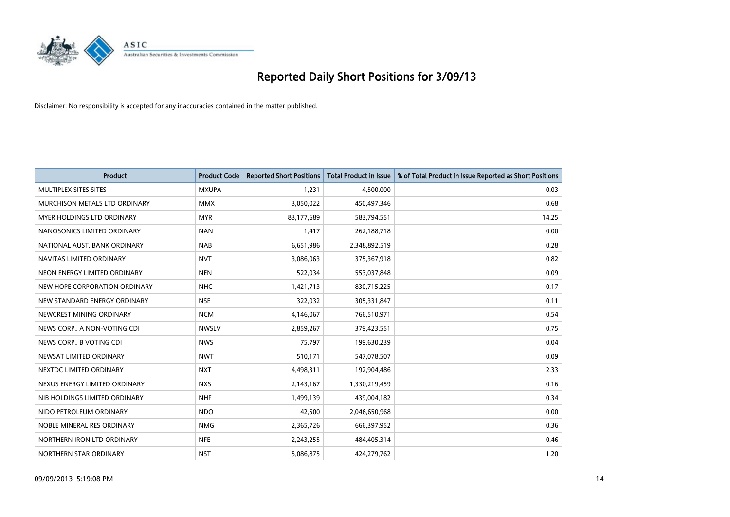

| <b>Product</b>                | <b>Product Code</b> | <b>Reported Short Positions</b> | <b>Total Product in Issue</b> | % of Total Product in Issue Reported as Short Positions |
|-------------------------------|---------------------|---------------------------------|-------------------------------|---------------------------------------------------------|
| MULTIPLEX SITES SITES         | <b>MXUPA</b>        | 1,231                           | 4,500,000                     | 0.03                                                    |
| MURCHISON METALS LTD ORDINARY | <b>MMX</b>          | 3,050,022                       | 450,497,346                   | 0.68                                                    |
| MYER HOLDINGS LTD ORDINARY    | <b>MYR</b>          | 83,177,689                      | 583,794,551                   | 14.25                                                   |
| NANOSONICS LIMITED ORDINARY   | <b>NAN</b>          | 1,417                           | 262,188,718                   | 0.00                                                    |
| NATIONAL AUST, BANK ORDINARY  | <b>NAB</b>          | 6,651,986                       | 2,348,892,519                 | 0.28                                                    |
| NAVITAS LIMITED ORDINARY      | <b>NVT</b>          | 3,086,063                       | 375,367,918                   | 0.82                                                    |
| NEON ENERGY LIMITED ORDINARY  | <b>NEN</b>          | 522,034                         | 553,037,848                   | 0.09                                                    |
| NEW HOPE CORPORATION ORDINARY | <b>NHC</b>          | 1,421,713                       | 830,715,225                   | 0.17                                                    |
| NEW STANDARD ENERGY ORDINARY  | <b>NSE</b>          | 322,032                         | 305,331,847                   | 0.11                                                    |
| NEWCREST MINING ORDINARY      | <b>NCM</b>          | 4,146,067                       | 766,510,971                   | 0.54                                                    |
| NEWS CORP A NON-VOTING CDI    | <b>NWSLV</b>        | 2,859,267                       | 379,423,551                   | 0.75                                                    |
| NEWS CORP B VOTING CDI        | <b>NWS</b>          | 75,797                          | 199,630,239                   | 0.04                                                    |
| NEWSAT LIMITED ORDINARY       | <b>NWT</b>          | 510,171                         | 547,078,507                   | 0.09                                                    |
| NEXTDC LIMITED ORDINARY       | <b>NXT</b>          | 4,498,311                       | 192,904,486                   | 2.33                                                    |
| NEXUS ENERGY LIMITED ORDINARY | <b>NXS</b>          | 2,143,167                       | 1,330,219,459                 | 0.16                                                    |
| NIB HOLDINGS LIMITED ORDINARY | <b>NHF</b>          | 1,499,139                       | 439,004,182                   | 0.34                                                    |
| NIDO PETROLEUM ORDINARY       | <b>NDO</b>          | 42,500                          | 2,046,650,968                 | 0.00                                                    |
| NOBLE MINERAL RES ORDINARY    | <b>NMG</b>          | 2,365,726                       | 666,397,952                   | 0.36                                                    |
| NORTHERN IRON LTD ORDINARY    | <b>NFE</b>          | 2,243,255                       | 484,405,314                   | 0.46                                                    |
| NORTHERN STAR ORDINARY        | <b>NST</b>          | 5,086,875                       | 424,279,762                   | 1.20                                                    |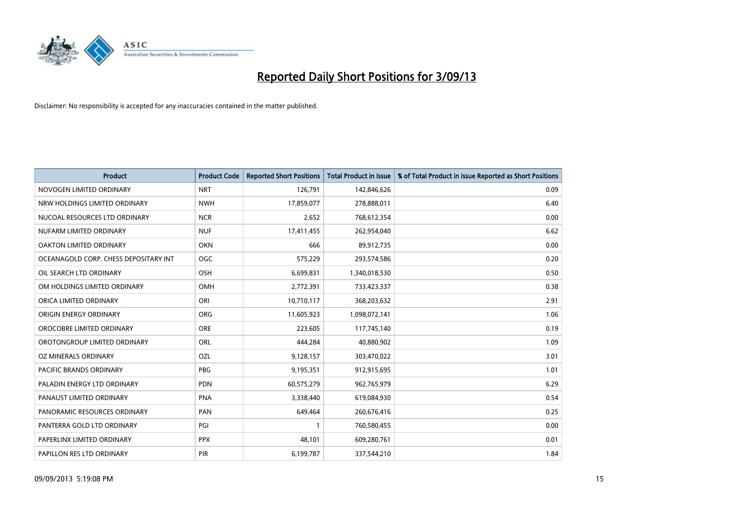

| <b>Product</b>                        | <b>Product Code</b> | <b>Reported Short Positions</b> | <b>Total Product in Issue</b> | % of Total Product in Issue Reported as Short Positions |
|---------------------------------------|---------------------|---------------------------------|-------------------------------|---------------------------------------------------------|
| NOVOGEN LIMITED ORDINARY              | <b>NRT</b>          | 126,791                         | 142,846,626                   | 0.09                                                    |
| NRW HOLDINGS LIMITED ORDINARY         | <b>NWH</b>          | 17,859,077                      | 278,888,011                   | 6.40                                                    |
| NUCOAL RESOURCES LTD ORDINARY         | <b>NCR</b>          | 2,652                           | 768,612,354                   | 0.00                                                    |
| NUFARM LIMITED ORDINARY               | <b>NUF</b>          | 17,411,455                      | 262,954,040                   | 6.62                                                    |
| OAKTON LIMITED ORDINARY               | <b>OKN</b>          | 666                             | 89,912,735                    | 0.00                                                    |
| OCEANAGOLD CORP. CHESS DEPOSITARY INT | <b>OGC</b>          | 575,229                         | 293,574,586                   | 0.20                                                    |
| OIL SEARCH LTD ORDINARY               | OSH                 | 6,699,831                       | 1,340,018,530                 | 0.50                                                    |
| OM HOLDINGS LIMITED ORDINARY          | <b>OMH</b>          | 2,772,391                       | 733,423,337                   | 0.38                                                    |
| ORICA LIMITED ORDINARY                | ORI                 | 10,710,117                      | 368,203,632                   | 2.91                                                    |
| ORIGIN ENERGY ORDINARY                | ORG                 | 11,605,923                      | 1,098,072,141                 | 1.06                                                    |
| OROCOBRE LIMITED ORDINARY             | <b>ORE</b>          | 223,605                         | 117,745,140                   | 0.19                                                    |
| OROTONGROUP LIMITED ORDINARY          | ORL                 | 444,284                         | 40,880,902                    | 1.09                                                    |
| OZ MINERALS ORDINARY                  | OZL                 | 9,128,157                       | 303,470,022                   | 3.01                                                    |
| PACIFIC BRANDS ORDINARY               | <b>PBG</b>          | 9,195,351                       | 912,915,695                   | 1.01                                                    |
| PALADIN ENERGY LTD ORDINARY           | <b>PDN</b>          | 60,575,279                      | 962,765,979                   | 6.29                                                    |
| PANAUST LIMITED ORDINARY              | <b>PNA</b>          | 3,338,440                       | 619,084,930                   | 0.54                                                    |
| PANORAMIC RESOURCES ORDINARY          | PAN                 | 649,464                         | 260,676,416                   | 0.25                                                    |
| PANTERRA GOLD LTD ORDINARY            | PGI                 |                                 | 760,580,455                   | 0.00                                                    |
| PAPERLINX LIMITED ORDINARY            | <b>PPX</b>          | 48,101                          | 609,280,761                   | 0.01                                                    |
| PAPILLON RES LTD ORDINARY             | PIR                 | 6,199,787                       | 337,544,210                   | 1.84                                                    |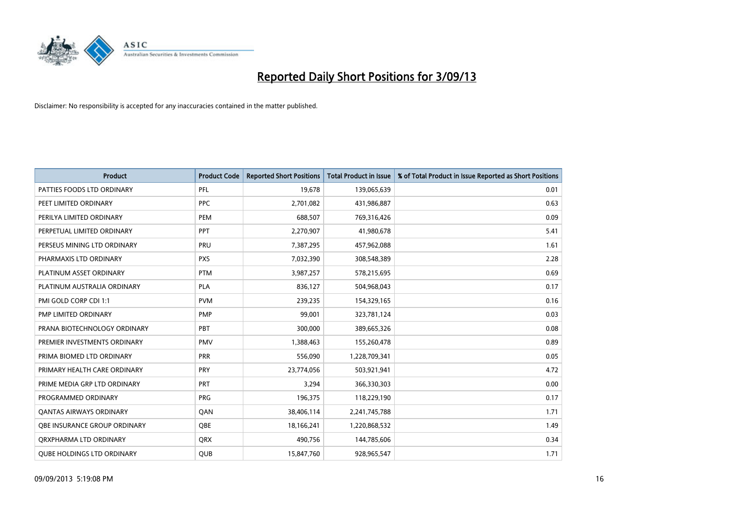

| <b>Product</b>                    | <b>Product Code</b> | <b>Reported Short Positions</b> | <b>Total Product in Issue</b> | % of Total Product in Issue Reported as Short Positions |
|-----------------------------------|---------------------|---------------------------------|-------------------------------|---------------------------------------------------------|
| PATTIES FOODS LTD ORDINARY        | PFL                 | 19,678                          | 139,065,639                   | 0.01                                                    |
| PEET LIMITED ORDINARY             | <b>PPC</b>          | 2,701,082                       | 431,986,887                   | 0.63                                                    |
| PERILYA LIMITED ORDINARY          | PEM                 | 688,507                         | 769,316,426                   | 0.09                                                    |
| PERPETUAL LIMITED ORDINARY        | <b>PPT</b>          | 2,270,907                       | 41,980,678                    | 5.41                                                    |
| PERSEUS MINING LTD ORDINARY       | PRU                 | 7,387,295                       | 457,962,088                   | 1.61                                                    |
| PHARMAXIS LTD ORDINARY            | <b>PXS</b>          | 7,032,390                       | 308,548,389                   | 2.28                                                    |
| PLATINUM ASSET ORDINARY           | <b>PTM</b>          | 3,987,257                       | 578,215,695                   | 0.69                                                    |
| PLATINUM AUSTRALIA ORDINARY       | <b>PLA</b>          | 836,127                         | 504,968,043                   | 0.17                                                    |
| PMI GOLD CORP CDI 1:1             | <b>PVM</b>          | 239,235                         | 154,329,165                   | 0.16                                                    |
| PMP LIMITED ORDINARY              | <b>PMP</b>          | 99,001                          | 323,781,124                   | 0.03                                                    |
| PRANA BIOTECHNOLOGY ORDINARY      | PBT                 | 300,000                         | 389,665,326                   | 0.08                                                    |
| PREMIER INVESTMENTS ORDINARY      | <b>PMV</b>          | 1,388,463                       | 155,260,478                   | 0.89                                                    |
| PRIMA BIOMED LTD ORDINARY         | <b>PRR</b>          | 556,090                         | 1,228,709,341                 | 0.05                                                    |
| PRIMARY HEALTH CARE ORDINARY      | <b>PRY</b>          | 23,774,056                      | 503,921,941                   | 4.72                                                    |
| PRIME MEDIA GRP LTD ORDINARY      | <b>PRT</b>          | 3,294                           | 366,330,303                   | 0.00                                                    |
| PROGRAMMED ORDINARY               | <b>PRG</b>          | 196,375                         | 118,229,190                   | 0.17                                                    |
| <b>QANTAS AIRWAYS ORDINARY</b>    | QAN                 | 38,406,114                      | 2,241,745,788                 | 1.71                                                    |
| OBE INSURANCE GROUP ORDINARY      | <b>OBE</b>          | 18,166,241                      | 1,220,868,532                 | 1.49                                                    |
| ORXPHARMA LTD ORDINARY            | <b>QRX</b>          | 490,756                         | 144,785,606                   | 0.34                                                    |
| <b>QUBE HOLDINGS LTD ORDINARY</b> | QUB                 | 15,847,760                      | 928,965,547                   | 1.71                                                    |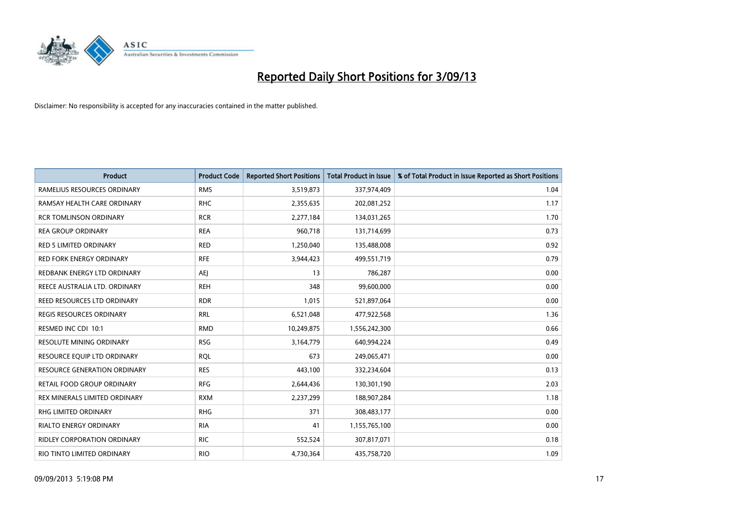

| <b>Product</b>                      | <b>Product Code</b> | <b>Reported Short Positions</b> | <b>Total Product in Issue</b> | % of Total Product in Issue Reported as Short Positions |
|-------------------------------------|---------------------|---------------------------------|-------------------------------|---------------------------------------------------------|
| RAMELIUS RESOURCES ORDINARY         | <b>RMS</b>          | 3,519,873                       | 337,974,409                   | 1.04                                                    |
| RAMSAY HEALTH CARE ORDINARY         | <b>RHC</b>          | 2,355,635                       | 202,081,252                   | 1.17                                                    |
| RCR TOMLINSON ORDINARY              | <b>RCR</b>          | 2,277,184                       | 134,031,265                   | 1.70                                                    |
| <b>REA GROUP ORDINARY</b>           | <b>REA</b>          | 960,718                         | 131,714,699                   | 0.73                                                    |
| <b>RED 5 LIMITED ORDINARY</b>       | <b>RED</b>          | 1,250,040                       | 135,488,008                   | 0.92                                                    |
| <b>RED FORK ENERGY ORDINARY</b>     | <b>RFE</b>          | 3,944,423                       | 499,551,719                   | 0.79                                                    |
| REDBANK ENERGY LTD ORDINARY         | <b>AEJ</b>          | 13                              | 786,287                       | 0.00                                                    |
| REECE AUSTRALIA LTD. ORDINARY       | <b>REH</b>          | 348                             | 99,600,000                    | 0.00                                                    |
| REED RESOURCES LTD ORDINARY         | <b>RDR</b>          | 1,015                           | 521,897,064                   | 0.00                                                    |
| <b>REGIS RESOURCES ORDINARY</b>     | <b>RRL</b>          | 6,521,048                       | 477,922,568                   | 1.36                                                    |
| RESMED INC CDI 10:1                 | <b>RMD</b>          | 10,249,875                      | 1,556,242,300                 | 0.66                                                    |
| <b>RESOLUTE MINING ORDINARY</b>     | <b>RSG</b>          | 3,164,779                       | 640,994,224                   | 0.49                                                    |
| RESOURCE EQUIP LTD ORDINARY         | RQL                 | 673                             | 249,065,471                   | 0.00                                                    |
| <b>RESOURCE GENERATION ORDINARY</b> | <b>RES</b>          | 443,100                         | 332,234,604                   | 0.13                                                    |
| <b>RETAIL FOOD GROUP ORDINARY</b>   | <b>RFG</b>          | 2,644,436                       | 130,301,190                   | 2.03                                                    |
| REX MINERALS LIMITED ORDINARY       | <b>RXM</b>          | 2,237,299                       | 188,907,284                   | 1.18                                                    |
| RHG LIMITED ORDINARY                | <b>RHG</b>          | 371                             | 308,483,177                   | 0.00                                                    |
| <b>RIALTO ENERGY ORDINARY</b>       | <b>RIA</b>          | 41                              | 1,155,765,100                 | 0.00                                                    |
| <b>RIDLEY CORPORATION ORDINARY</b>  | <b>RIC</b>          | 552,524                         | 307,817,071                   | 0.18                                                    |
| RIO TINTO LIMITED ORDINARY          | <b>RIO</b>          | 4,730,364                       | 435,758,720                   | 1.09                                                    |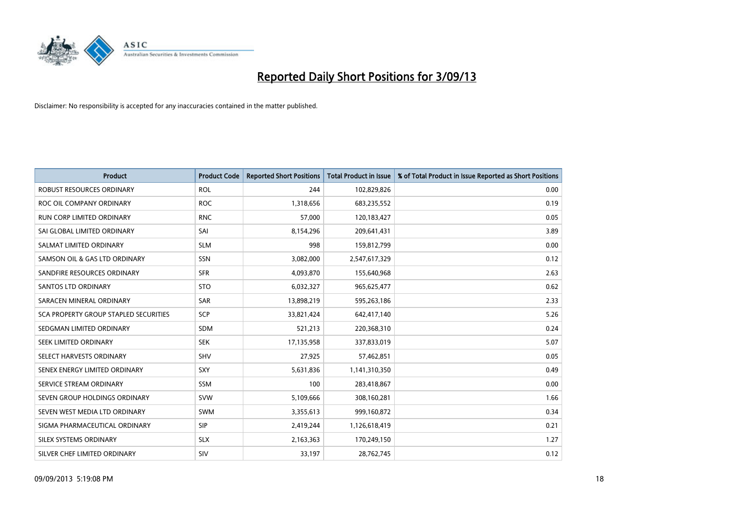

| <b>Product</b>                        | <b>Product Code</b> | <b>Reported Short Positions</b> | <b>Total Product in Issue</b> | % of Total Product in Issue Reported as Short Positions |
|---------------------------------------|---------------------|---------------------------------|-------------------------------|---------------------------------------------------------|
| <b>ROBUST RESOURCES ORDINARY</b>      | <b>ROL</b>          | 244                             | 102,829,826                   | 0.00                                                    |
| ROC OIL COMPANY ORDINARY              | <b>ROC</b>          | 1,318,656                       | 683,235,552                   | 0.19                                                    |
| <b>RUN CORP LIMITED ORDINARY</b>      | <b>RNC</b>          | 57,000                          | 120,183,427                   | 0.05                                                    |
| SAI GLOBAL LIMITED ORDINARY           | SAI                 | 8,154,296                       | 209,641,431                   | 3.89                                                    |
| SALMAT LIMITED ORDINARY               | <b>SLM</b>          | 998                             | 159,812,799                   | 0.00                                                    |
| SAMSON OIL & GAS LTD ORDINARY         | SSN                 | 3,082,000                       | 2,547,617,329                 | 0.12                                                    |
| SANDFIRE RESOURCES ORDINARY           | <b>SFR</b>          | 4,093,870                       | 155,640,968                   | 2.63                                                    |
| <b>SANTOS LTD ORDINARY</b>            | <b>STO</b>          | 6,032,327                       | 965,625,477                   | 0.62                                                    |
| SARACEN MINERAL ORDINARY              | <b>SAR</b>          | 13,898,219                      | 595,263,186                   | 2.33                                                    |
| SCA PROPERTY GROUP STAPLED SECURITIES | <b>SCP</b>          | 33,821,424                      | 642,417,140                   | 5.26                                                    |
| SEDGMAN LIMITED ORDINARY              | SDM                 | 521,213                         | 220,368,310                   | 0.24                                                    |
| <b>SEEK LIMITED ORDINARY</b>          | <b>SEK</b>          | 17,135,958                      | 337,833,019                   | 5.07                                                    |
| SELECT HARVESTS ORDINARY              | SHV                 | 27,925                          | 57,462,851                    | 0.05                                                    |
| SENEX ENERGY LIMITED ORDINARY         | SXY                 | 5,631,836                       | 1,141,310,350                 | 0.49                                                    |
| SERVICE STREAM ORDINARY               | <b>SSM</b>          | 100                             | 283,418,867                   | 0.00                                                    |
| SEVEN GROUP HOLDINGS ORDINARY         | <b>SVW</b>          | 5,109,666                       | 308,160,281                   | 1.66                                                    |
| SEVEN WEST MEDIA LTD ORDINARY         | SWM                 | 3,355,613                       | 999,160,872                   | 0.34                                                    |
| SIGMA PHARMACEUTICAL ORDINARY         | <b>SIP</b>          | 2,419,244                       | 1,126,618,419                 | 0.21                                                    |
| SILEX SYSTEMS ORDINARY                | <b>SLX</b>          | 2,163,363                       | 170,249,150                   | 1.27                                                    |
| SILVER CHEF LIMITED ORDINARY          | SIV                 | 33,197                          | 28,762,745                    | 0.12                                                    |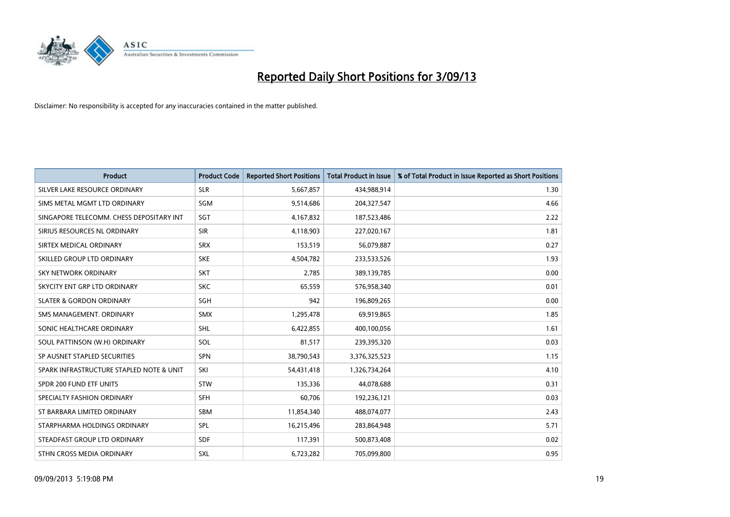

| <b>Product</b>                           | <b>Product Code</b> | <b>Reported Short Positions</b> | <b>Total Product in Issue</b> | % of Total Product in Issue Reported as Short Positions |
|------------------------------------------|---------------------|---------------------------------|-------------------------------|---------------------------------------------------------|
| SILVER LAKE RESOURCE ORDINARY            | <b>SLR</b>          | 5,667,857                       | 434,988,914                   | 1.30                                                    |
| SIMS METAL MGMT LTD ORDINARY             | <b>SGM</b>          | 9,514,686                       | 204,327,547                   | 4.66                                                    |
| SINGAPORE TELECOMM. CHESS DEPOSITARY INT | SGT                 | 4,167,832                       | 187,523,486                   | 2.22                                                    |
| SIRIUS RESOURCES NL ORDINARY             | <b>SIR</b>          | 4,118,903                       | 227,020,167                   | 1.81                                                    |
| SIRTEX MEDICAL ORDINARY                  | <b>SRX</b>          | 153,519                         | 56,079,887                    | 0.27                                                    |
| SKILLED GROUP LTD ORDINARY               | <b>SKE</b>          | 4,504,782                       | 233,533,526                   | 1.93                                                    |
| SKY NETWORK ORDINARY                     | <b>SKT</b>          | 2,785                           | 389,139,785                   | 0.00                                                    |
| SKYCITY ENT GRP LTD ORDINARY             | <b>SKC</b>          | 65,559                          | 576,958,340                   | 0.01                                                    |
| <b>SLATER &amp; GORDON ORDINARY</b>      | SGH                 | 942                             | 196,809,265                   | 0.00                                                    |
| SMS MANAGEMENT, ORDINARY                 | <b>SMX</b>          | 1,295,478                       | 69,919,865                    | 1.85                                                    |
| SONIC HEALTHCARE ORDINARY                | SHL                 | 6,422,855                       | 400,100,056                   | 1.61                                                    |
| SOUL PATTINSON (W.H) ORDINARY            | <b>SOL</b>          | 81,517                          | 239,395,320                   | 0.03                                                    |
| SP AUSNET STAPLED SECURITIES             | SPN                 | 38,790,543                      | 3,376,325,523                 | 1.15                                                    |
| SPARK INFRASTRUCTURE STAPLED NOTE & UNIT | SKI                 | 54,431,418                      | 1,326,734,264                 | 4.10                                                    |
| SPDR 200 FUND ETF UNITS                  | <b>STW</b>          | 135,336                         | 44,078,688                    | 0.31                                                    |
| SPECIALTY FASHION ORDINARY               | SFH                 | 60,706                          | 192,236,121                   | 0.03                                                    |
| ST BARBARA LIMITED ORDINARY              | SBM                 | 11,854,340                      | 488,074,077                   | 2.43                                                    |
| STARPHARMA HOLDINGS ORDINARY             | <b>SPL</b>          | 16,215,496                      | 283,864,948                   | 5.71                                                    |
| STEADFAST GROUP LTD ORDINARY             | <b>SDF</b>          | 117,391                         | 500,873,408                   | 0.02                                                    |
| STHN CROSS MEDIA ORDINARY                | SXL                 | 6,723,282                       | 705,099,800                   | 0.95                                                    |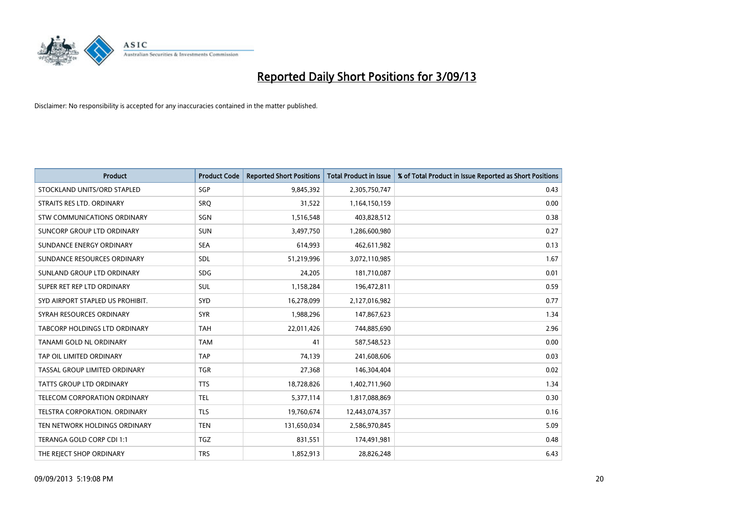

| <b>Product</b>                   | <b>Product Code</b> | <b>Reported Short Positions</b> | <b>Total Product in Issue</b> | % of Total Product in Issue Reported as Short Positions |
|----------------------------------|---------------------|---------------------------------|-------------------------------|---------------------------------------------------------|
| STOCKLAND UNITS/ORD STAPLED      | SGP                 | 9,845,392                       | 2,305,750,747                 | 0.43                                                    |
| STRAITS RES LTD. ORDINARY        | <b>SRQ</b>          | 31,522                          | 1,164,150,159                 | 0.00                                                    |
| STW COMMUNICATIONS ORDINARY      | SGN                 | 1,516,548                       | 403,828,512                   | 0.38                                                    |
| SUNCORP GROUP LTD ORDINARY       | <b>SUN</b>          | 3,497,750                       | 1,286,600,980                 | 0.27                                                    |
| SUNDANCE ENERGY ORDINARY         | <b>SEA</b>          | 614,993                         | 462,611,982                   | 0.13                                                    |
| SUNDANCE RESOURCES ORDINARY      | SDL                 | 51,219,996                      | 3,072,110,985                 | 1.67                                                    |
| SUNLAND GROUP LTD ORDINARY       | <b>SDG</b>          | 24,205                          | 181,710,087                   | 0.01                                                    |
| SUPER RET REP LTD ORDINARY       | SUL                 | 1,158,284                       | 196,472,811                   | 0.59                                                    |
| SYD AIRPORT STAPLED US PROHIBIT. | SYD                 | 16,278,099                      | 2,127,016,982                 | 0.77                                                    |
| SYRAH RESOURCES ORDINARY         | <b>SYR</b>          | 1,988,296                       | 147,867,623                   | 1.34                                                    |
| TABCORP HOLDINGS LTD ORDINARY    | <b>TAH</b>          | 22,011,426                      | 744,885,690                   | 2.96                                                    |
| TANAMI GOLD NL ORDINARY          | <b>TAM</b>          | 41                              | 587,548,523                   | 0.00                                                    |
| TAP OIL LIMITED ORDINARY         | <b>TAP</b>          | 74,139                          | 241,608,606                   | 0.03                                                    |
| TASSAL GROUP LIMITED ORDINARY    | <b>TGR</b>          | 27,368                          | 146,304,404                   | 0.02                                                    |
| <b>TATTS GROUP LTD ORDINARY</b>  | <b>TTS</b>          | 18,728,826                      | 1,402,711,960                 | 1.34                                                    |
| TELECOM CORPORATION ORDINARY     | <b>TEL</b>          | 5,377,114                       | 1,817,088,869                 | 0.30                                                    |
| TELSTRA CORPORATION. ORDINARY    | <b>TLS</b>          | 19,760,674                      | 12,443,074,357                | 0.16                                                    |
| TEN NETWORK HOLDINGS ORDINARY    | <b>TEN</b>          | 131,650,034                     | 2,586,970,845                 | 5.09                                                    |
| TERANGA GOLD CORP CDI 1:1        | <b>TGZ</b>          | 831,551                         | 174,491,981                   | 0.48                                                    |
| THE REJECT SHOP ORDINARY         | <b>TRS</b>          | 1,852,913                       | 28,826,248                    | 6.43                                                    |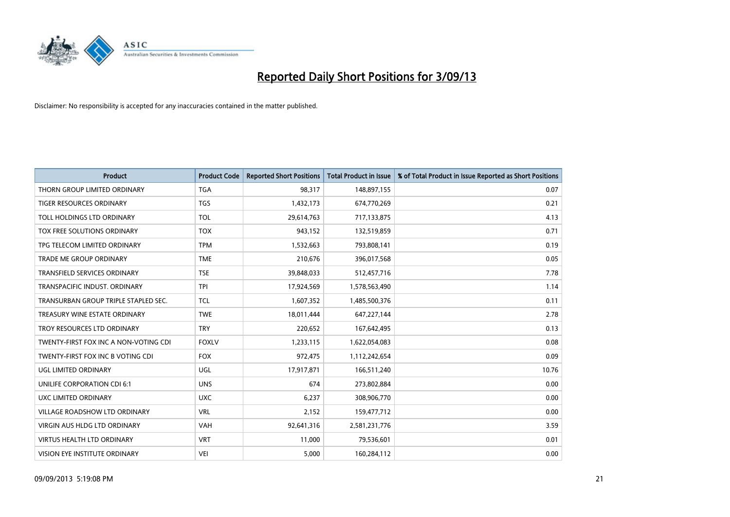

| <b>Product</b>                        | <b>Product Code</b> | <b>Reported Short Positions</b> | <b>Total Product in Issue</b> | % of Total Product in Issue Reported as Short Positions |
|---------------------------------------|---------------------|---------------------------------|-------------------------------|---------------------------------------------------------|
| THORN GROUP LIMITED ORDINARY          | <b>TGA</b>          | 98,317                          | 148,897,155                   | 0.07                                                    |
| TIGER RESOURCES ORDINARY              | <b>TGS</b>          | 1,432,173                       | 674,770,269                   | 0.21                                                    |
| TOLL HOLDINGS LTD ORDINARY            | <b>TOL</b>          | 29,614,763                      | 717,133,875                   | 4.13                                                    |
| TOX FREE SOLUTIONS ORDINARY           | <b>TOX</b>          | 943,152                         | 132,519,859                   | 0.71                                                    |
| TPG TELECOM LIMITED ORDINARY          | <b>TPM</b>          | 1,532,663                       | 793,808,141                   | 0.19                                                    |
| <b>TRADE ME GROUP ORDINARY</b>        | <b>TME</b>          | 210,676                         | 396,017,568                   | 0.05                                                    |
| <b>TRANSFIELD SERVICES ORDINARY</b>   | <b>TSE</b>          | 39,848,033                      | 512,457,716                   | 7.78                                                    |
| TRANSPACIFIC INDUST, ORDINARY         | <b>TPI</b>          | 17,924,569                      | 1,578,563,490                 | 1.14                                                    |
| TRANSURBAN GROUP TRIPLE STAPLED SEC.  | <b>TCL</b>          | 1,607,352                       | 1,485,500,376                 | 0.11                                                    |
| TREASURY WINE ESTATE ORDINARY         | <b>TWE</b>          | 18,011,444                      | 647,227,144                   | 2.78                                                    |
| TROY RESOURCES LTD ORDINARY           | <b>TRY</b>          | 220,652                         | 167,642,495                   | 0.13                                                    |
| TWENTY-FIRST FOX INC A NON-VOTING CDI | <b>FOXLV</b>        | 1,233,115                       | 1,622,054,083                 | 0.08                                                    |
| TWENTY-FIRST FOX INC B VOTING CDI     | <b>FOX</b>          | 972,475                         | 1,112,242,654                 | 0.09                                                    |
| UGL LIMITED ORDINARY                  | UGL                 | 17,917,871                      | 166,511,240                   | 10.76                                                   |
| UNILIFE CORPORATION CDI 6:1           | <b>UNS</b>          | 674                             | 273,802,884                   | 0.00                                                    |
| UXC LIMITED ORDINARY                  | <b>UXC</b>          | 6,237                           | 308,906,770                   | 0.00                                                    |
| VILLAGE ROADSHOW LTD ORDINARY         | <b>VRL</b>          | 2,152                           | 159,477,712                   | 0.00                                                    |
| <b>VIRGIN AUS HLDG LTD ORDINARY</b>   | <b>VAH</b>          | 92,641,316                      | 2,581,231,776                 | 3.59                                                    |
| <b>VIRTUS HEALTH LTD ORDINARY</b>     | <b>VRT</b>          | 11,000                          | 79,536,601                    | 0.01                                                    |
| VISION EYE INSTITUTE ORDINARY         | <b>VEI</b>          | 5,000                           | 160,284,112                   | 0.00                                                    |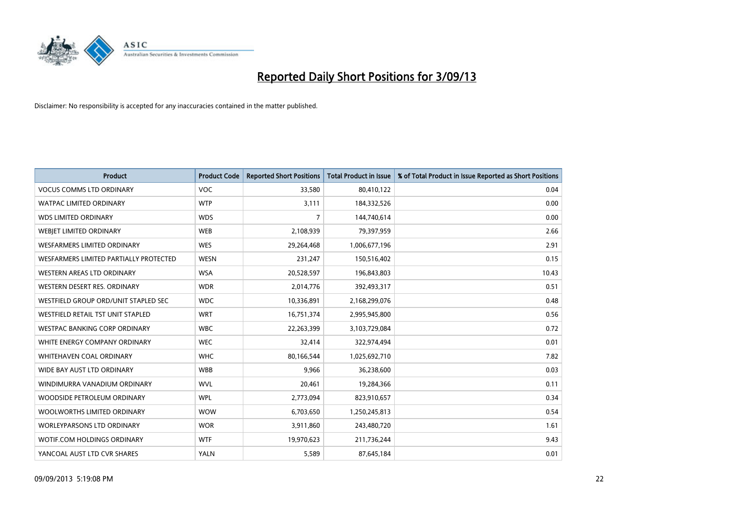

| <b>Product</b>                         | <b>Product Code</b> | <b>Reported Short Positions</b> | <b>Total Product in Issue</b> | % of Total Product in Issue Reported as Short Positions |
|----------------------------------------|---------------------|---------------------------------|-------------------------------|---------------------------------------------------------|
| <b>VOCUS COMMS LTD ORDINARY</b>        | <b>VOC</b>          | 33,580                          | 80,410,122                    | 0.04                                                    |
| <b>WATPAC LIMITED ORDINARY</b>         | <b>WTP</b>          | 3,111                           | 184,332,526                   | 0.00                                                    |
| <b>WDS LIMITED ORDINARY</b>            | <b>WDS</b>          | $\overline{7}$                  | 144,740,614                   | 0.00                                                    |
| WEBIET LIMITED ORDINARY                | <b>WEB</b>          | 2,108,939                       | 79,397,959                    | 2.66                                                    |
| <b>WESFARMERS LIMITED ORDINARY</b>     | <b>WES</b>          | 29,264,468                      | 1,006,677,196                 | 2.91                                                    |
| WESFARMERS LIMITED PARTIALLY PROTECTED | <b>WESN</b>         | 231,247                         | 150,516,402                   | 0.15                                                    |
| WESTERN AREAS LTD ORDINARY             | <b>WSA</b>          | 20,528,597                      | 196,843,803                   | 10.43                                                   |
| WESTERN DESERT RES. ORDINARY           | <b>WDR</b>          | 2,014,776                       | 392,493,317                   | 0.51                                                    |
| WESTFIELD GROUP ORD/UNIT STAPLED SEC   | <b>WDC</b>          | 10,336,891                      | 2,168,299,076                 | 0.48                                                    |
| WESTFIELD RETAIL TST UNIT STAPLED      | <b>WRT</b>          | 16,751,374                      | 2,995,945,800                 | 0.56                                                    |
| <b>WESTPAC BANKING CORP ORDINARY</b>   | <b>WBC</b>          | 22,263,399                      | 3,103,729,084                 | 0.72                                                    |
| WHITE ENERGY COMPANY ORDINARY          | <b>WEC</b>          | 32,414                          | 322,974,494                   | 0.01                                                    |
| WHITEHAVEN COAL ORDINARY               | <b>WHC</b>          | 80,166,544                      | 1,025,692,710                 | 7.82                                                    |
| WIDE BAY AUST LTD ORDINARY             | <b>WBB</b>          | 9,966                           | 36,238,600                    | 0.03                                                    |
| WINDIMURRA VANADIUM ORDINARY           | <b>WVL</b>          | 20,461                          | 19,284,366                    | 0.11                                                    |
| WOODSIDE PETROLEUM ORDINARY            | <b>WPL</b>          | 2,773,094                       | 823,910,657                   | 0.34                                                    |
| WOOLWORTHS LIMITED ORDINARY            | <b>WOW</b>          | 6,703,650                       | 1,250,245,813                 | 0.54                                                    |
| WORLEYPARSONS LTD ORDINARY             | <b>WOR</b>          | 3,911,860                       | 243,480,720                   | 1.61                                                    |
| WOTIF.COM HOLDINGS ORDINARY            | <b>WTF</b>          | 19,970,623                      | 211,736,244                   | 9.43                                                    |
| YANCOAL AUST LTD CVR SHARES            | <b>YALN</b>         | 5,589                           | 87,645,184                    | 0.01                                                    |